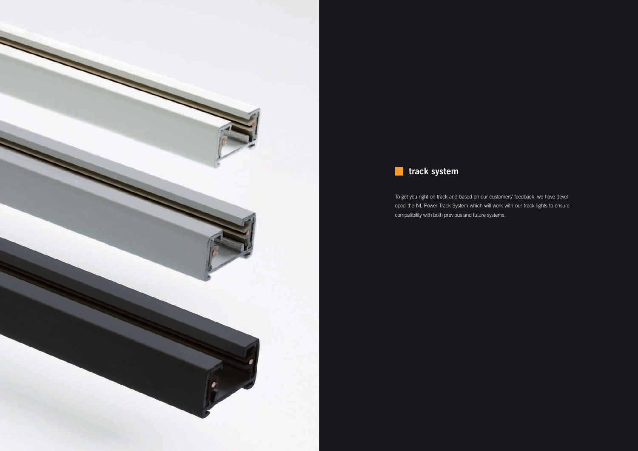



To get you right on track and based on our customers' feedback, we have developed the NL Power Track System which will work with our track lights to ensure compatibility with both previous and future systems.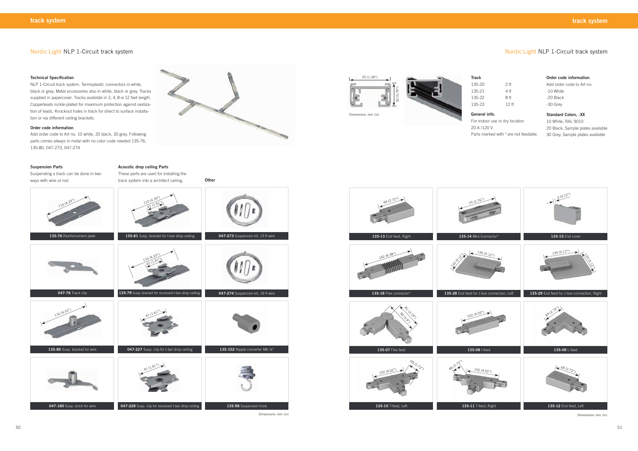# Nordic Light NLP 1-Circuit track system

## **Suspension Parts**

Suspending a track can be done in two ways with wire or rod.

**Acoustic drop ceiling Parts**

These parts are used for installing the track system into a architect ceiling.

## **Technical Specification**

**135-13** End feed, Right **135-14** Mini-Connector\* **135-15** End cover **135-07** Flex feed **135-08** I-feed 70 (2.76") 130 (5.12") 99 (3.9%) 8)<br>G. 19's 102 (4.02") 102 (4.02") 69<br>**K** (2.72") 69 (2.72") 69 (2.72") 162 (6.38")

NLP 1-Circuit track system. Termoplastic connectors in white, black or grey. Metal accessories also in white, black or grey. Tracks supplied in papercover. Tracks available in 2, 4, 8 or 12 feet length. Copperleads nickle-plated for maximum protection against oxidization of leads. Knockout holes in track for direct to surface installation or via different ceiling brackets.

## **Order code information**

Add order code to Art no. 10 white, 20 black, 30 grey. Following parts comes always in metal with no color code needed 135-76, 135-80, 047-273, 047-274



Dimensions: mm (in)



# Nordic Light NLP 1-Circuit track system

| 135-20 | 2 <sub>ft</sub>  |
|--------|------------------|
| 135-21 | 4 ft             |
| 135-22 | 8 ft             |
| 135-23 | 12 <sub>ft</sub> |

## **General info.**

For indoor use in dry location

20 A /120 V Parts marked with \* are not feedable.





**Standard Colors, -XX** 10 White, RAL 9010 20 Black, Sample plates available 30 Grey, Sample plates available



Dimensions: mm (in)

**Order code information** Add order code to Art no. -10 White -20 Black -30 Grey